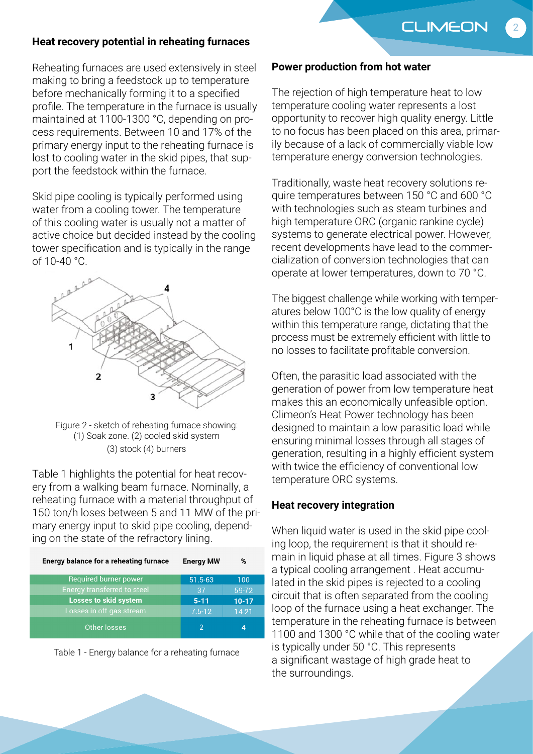**CLIMEON** 

2

## **Heat recovery potential in reheating furnaces**

Reheating furnaces are used extensively in steel making to bring a feedstock up to temperature before mechanically forming it to a specified profile. The temperature in the furnace is usually maintained at 1100-1300 °C, depending on process requirements. Between 10 and 17% of the primary energy input to the reheating furnace is lost to cooling water in the skid pipes, that support the feedstock within the furnace.

Skid pipe cooling is typically performed using water from a cooling tower. The temperature of this cooling water is usually not a matter of active choice but decided instead by the cooling tower specification and is typically in the range of 10-40 °C.



Figure 2 - sketch of reheating furnace showing: (1) Soak zone. (2) cooled skid system (3) stock (4) burners

Table 1 highlights the potential for heat recovery from a walking beam furnace. Nominally, a reheating furnace with a material throughput of 150 ton/h loses between 5 and 11 MW of the primary energy input to skid pipe cooling, depending on the state of the refractory lining.

| Energy balance for a reheating furnace | <b>Energy MW</b> | %         |
|----------------------------------------|------------------|-----------|
| Required burner power                  | $51.5-63$        | 100       |
| Energy transferred to steel            | 37               | 59-72     |
| <b>Losses to skid system</b>           | $5 - 11$         | $10 - 17$ |
| Losses in off-gas stream               | $7.5 - 12$       | $14-21$   |
| Other losses                           |                  | Δ         |



#### **Power production from hot water**

The rejection of high temperature heat to low temperature cooling water represents a lost opportunity to recover high quality energy. Little to no focus has been placed on this area, primarily because of a lack of commercially viable low temperature energy conversion technologies.

Traditionally, waste heat recovery solutions require temperatures between 150 °C and 600 °C with technologies such as steam turbines and high temperature ORC (organic rankine cycle) systems to generate electrical power. However, recent developments have lead to the commercialization of conversion technologies that can operate at lower temperatures, down to 70 °C.

The biggest challenge while working with temperatures below 100°C is the low quality of energy within this temperature range, dictating that the process must be extremely efficient with little to no losses to facilitate profitable conversion.

Often, the parasitic load associated with the generation of power from low temperature heat makes this an economically unfeasible option. Climeon's Heat Power technology has been designed to maintain a low parasitic load while ensuring minimal losses through all stages of generation, resulting in a highly efficient system with twice the efficiency of conventional low temperature ORC systems.

#### **Heat recovery integration**

When liquid water is used in the skid pipe cooling loop, the requirement is that it should remain in liquid phase at all times. Figure 3 shows a typical cooling arrangement . Heat accumulated in the skid pipes is rejected to a cooling circuit that is often separated from the cooling loop of the furnace using a heat exchanger. The temperature in the reheating furnace is between 1100 and 1300 °C while that of the cooling water is typically under 50 °C. This represents a significant wastage of high grade heat to the surroundings.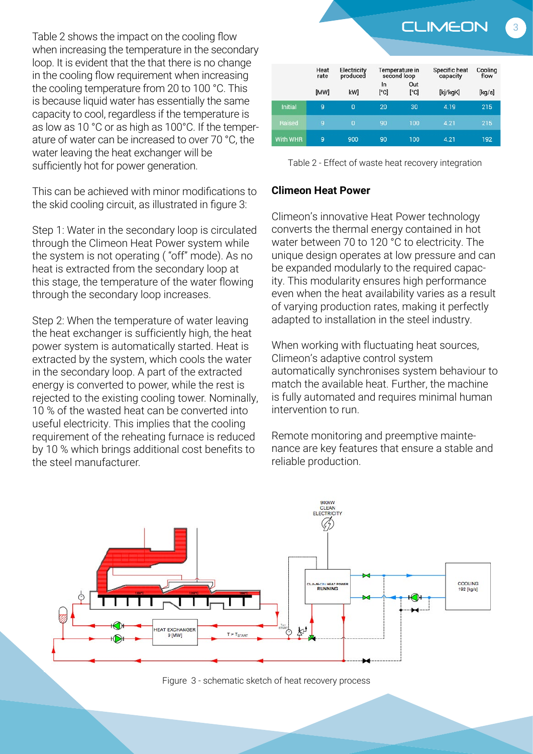Table 2 shows the impact on the cooling flow when increasing the temperature in the secondary loop. It is evident that the that there is no change in the cooling flow requirement when increasing the cooling temperature from 20 to 100 °C. This is because liquid water has essentially the same capacity to cool, regardless if the temperature is as low as 10 °C or as high as 100°C. If the temperature of water can be increased to over 70 °C, the water leaving the heat exchanger will be sufficiently hot for power generation.

This can be achieved with minor modifications to the skid cooling circuit, as illustrated in figure 3:

Step 1: Water in the secondary loop is circulated through the Climeon Heat Power system while the system is not operating ( "off" mode). As no heat is extracted from the secondary loop at this stage, the temperature of the water flowing through the secondary loop increases.

Step 2: When the temperature of water leaving the heat exchanger is sufficiently high, the heat power system is automatically started. Heat is extracted by the system, which cools the water in the secondary loop. A part of the extracted energy is converted to power, while the rest is rejected to the existing cooling tower. Nominally, 10 % of the wasted heat can be converted into useful electricity. This implies that the cooling requirement of the reheating furnace is reduced by 10 % which brings additional cost benefits to the steel manufacturer.



Table 2 - Effect of waste heat recovery integration

## **Climeon Heat Power**

Climeon's innovative Heat Power technology converts the thermal energy contained in hot water between 70 to 120 °C to electricity. The unique design operates at low pressure and can be expanded modularly to the required capacity. This modularity ensures high performance even when the heat availability varies as a result of varying production rates, making it perfectly adapted to installation in the steel industry.

When working with fluctuating heat sources, Climeon's adaptive control system automatically synchronises system behaviour to match the available heat. Further, the machine is fully automated and requires minimal human intervention to run.

Remote monitoring and preemptive maintenance are key features that ensure a stable and reliable production.



Figure 3 - schematic sketch of heat recovery process